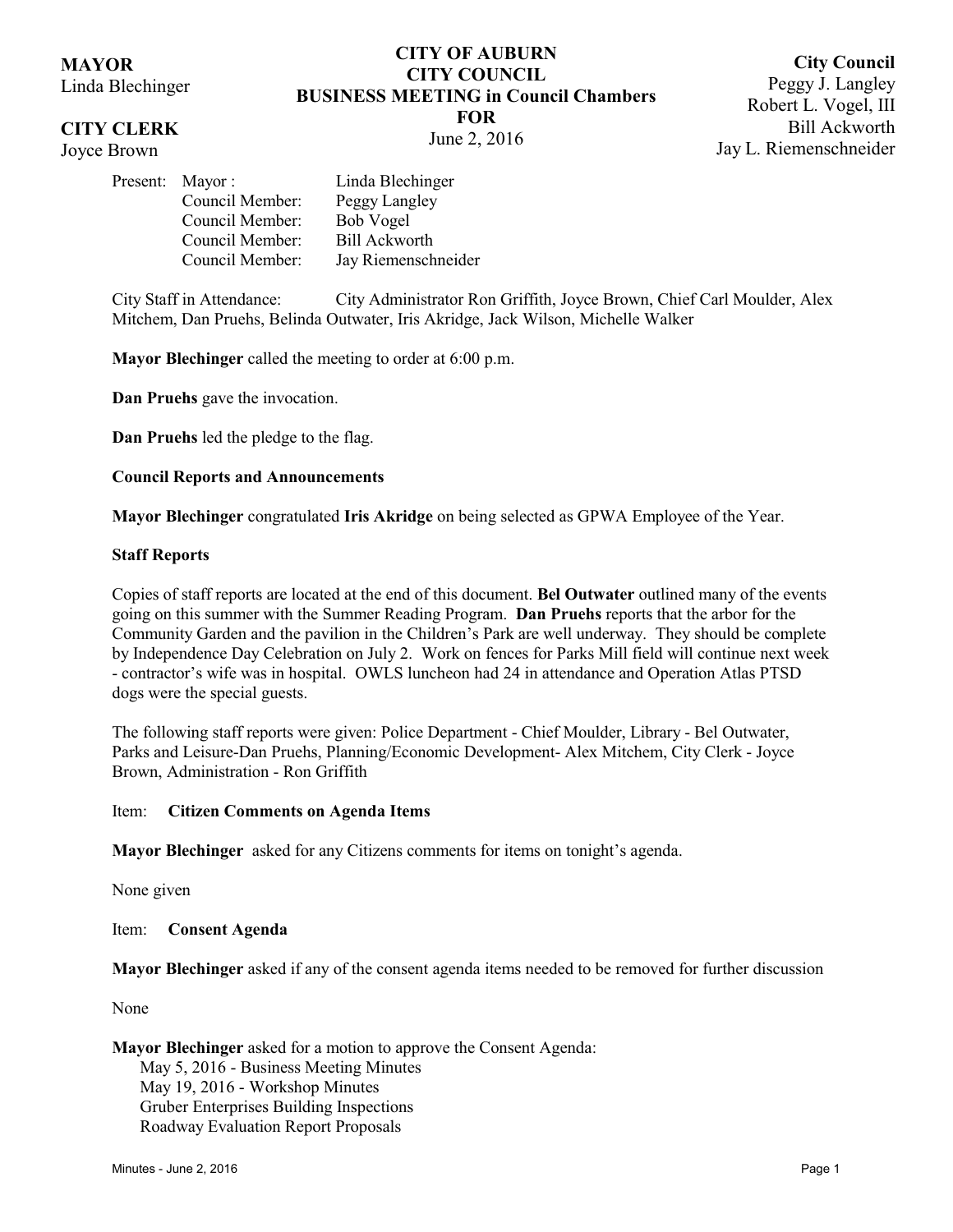# **MAYOR** Linda Blechinger

# **CITY CLERK**

Joyce Brown

# **CITY OF AUBURN CITY COUNCIL BUSINESS MEETING in Council Chambers FOR** June 2, 2016

**City Council** Peggy J. Langley Robert L. Vogel, III Bill Ackworth Jay L. Riemenschneider

| Present: Mayor: | Linda Blechinger     |
|-----------------|----------------------|
| Council Member: | Peggy Langley        |
| Council Member: | <b>Bob Vogel</b>     |
| Council Member: | <b>Bill Ackworth</b> |
| Council Member: | Jay Riemenschneider  |
|                 |                      |

City Staff in Attendance: City Administrator Ron Griffith, Joyce Brown, Chief Carl Moulder, Alex Mitchem, Dan Pruehs, Belinda Outwater, Iris Akridge, Jack Wilson, Michelle Walker

**Mayor Blechinger** called the meeting to order at 6:00 p.m.

**Dan Pruehs** gave the invocation.

**Dan Pruehs** led the pledge to the flag.

#### **Council Reports and Announcements**

**Mayor Blechinger** congratulated **Iris Akridge** on being selected as GPWA Employee of the Year.

#### **Staff Reports**

Copies of staff reports are located at the end of this document. **Bel Outwater** outlined many of the events going on this summer with the Summer Reading Program. **Dan Pruehs** reports that the arbor for the Community Garden and the pavilion in the Children's Park are well underway. They should be complete by Independence Day Celebration on July 2. Work on fences for Parks Mill field will continue next week - contractor's wife was in hospital. OWLS luncheon had 24 in attendance and Operation Atlas PTSD dogs were the special guests.

The following staff reports were given: Police Department - Chief Moulder, Library - Bel Outwater, Parks and Leisure-Dan Pruehs, Planning/Economic Development- Alex Mitchem, City Clerk - Joyce Brown, Administration - Ron Griffith

#### Item: **Citizen Comments on Agenda Items**

**Mayor Blechinger** asked for any Citizens comments for items on tonight's agenda.

None given

Item: **Consent Agenda**

**Mayor Blechinger** asked if any of the consent agenda items needed to be removed for further discussion

None

**Mayor Blechinger** asked for a motion to approve the Consent Agenda:

May 5, 2016 - Business Meeting Minutes May 19, 2016 - Workshop Minutes Gruber Enterprises Building Inspections Roadway Evaluation Report Proposals